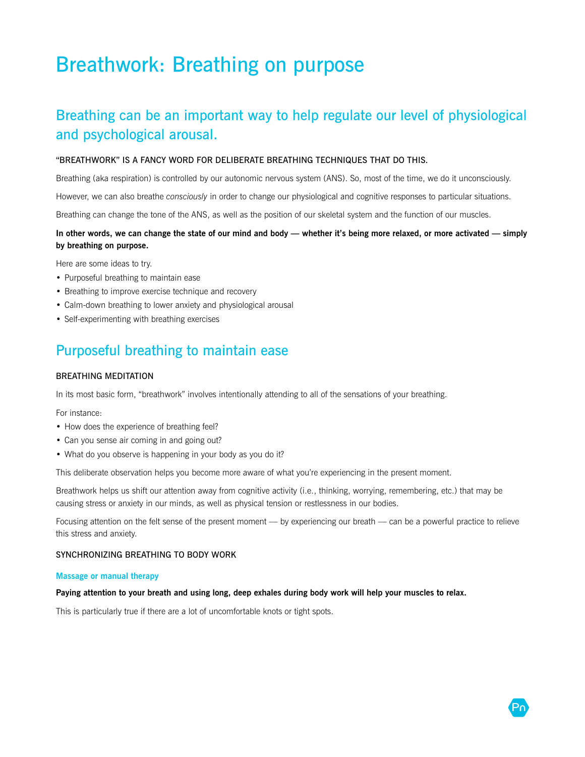# Breathwork: Breathing on purpose

# Breathing can be an important way to help regulate our level of physiological and psychological arousal.

### "BREATHWORK" IS A FANCY WORD FOR DELIBERATE BREATHING TECHNIQUES THAT DO THIS.

Breathing (aka respiration) is controlled by our autonomic nervous system (ANS). So, most of the time, we do it unconsciously.

However, we can also breathe *consciously* in order to change our physiological and cognitive responses to particular situations.

Breathing can change the tone of the ANS, as well as the position of our skeletal system and the function of our muscles.

### **In other words, we can change the state of our mind and body — whether it's being more relaxed, or more activated — simply by breathing on purpose.**

Here are some ideas to try.

- Purposeful breathing to maintain ease
- Breathing to improve exercise technique and recovery
- Calm-down breathing to lower anxiety and physiological arousal
- Self-experimenting with breathing exercises

### Purposeful breathing to maintain ease

### BREATHING MEDITATION

In its most basic form, "breathwork" involves intentionally attending to all of the sensations of your breathing.

For instance:

- How does the experience of breathing feel?
- Can you sense air coming in and going out?
- What do you observe is happening in your body as you do it?

This deliberate observation helps you become more aware of what you're experiencing in the present moment.

Breathwork helps us shift our attention away from cognitive activity (i.e., thinking, worrying, remembering, etc.) that may be causing stress or anxiety in our minds, as well as physical tension or restlessness in our bodies.

Focusing attention on the felt sense of the present moment — by experiencing our breath — can be a powerful practice to relieve this stress and anxiety.

### SYNCHRONIZING BREATHING TO BODY WORK

#### **Massage or manual therapy**

### **Paying attention to your breath and using long, deep exhales during body work will help your muscles to relax.**

This is particularly true if there are a lot of uncomfortable knots or tight spots.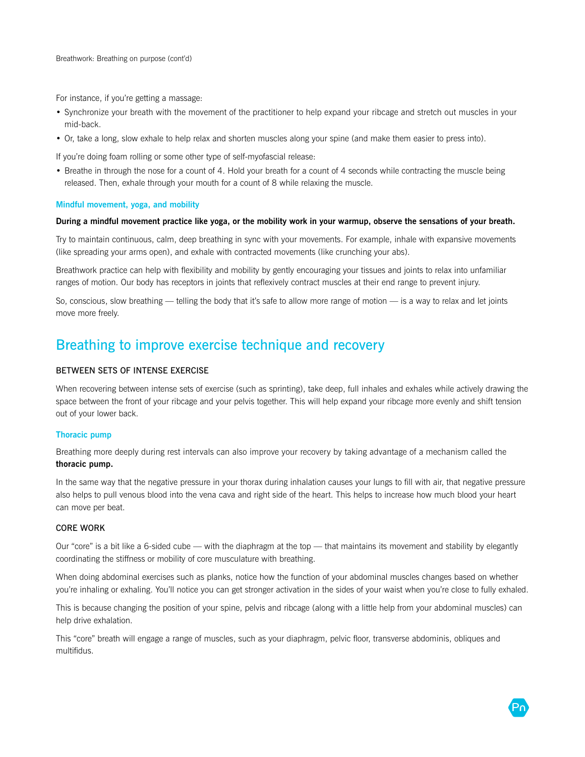For instance, if you're getting a massage:

- Synchronize your breath with the movement of the practitioner to help expand your ribcage and stretch out muscles in your mid-back.
- Or, take a long, slow exhale to help relax and shorten muscles along your spine (and make them easier to press into).

If you're doing foam rolling or some other type of self-myofascial release:

• Breathe in through the nose for a count of 4. Hold your breath for a count of 4 seconds while contracting the muscle being released. Then, exhale through your mouth for a count of 8 while relaxing the muscle.

#### **Mindful movement, yoga, and mobility**

#### **During a mindful movement practice like yoga, or the mobility work in your warmup, observe the sensations of your breath.**

Try to maintain continuous, calm, deep breathing in sync with your movements. For example, inhale with expansive movements (like spreading your arms open), and exhale with contracted movements (like crunching your abs).

Breathwork practice can help with flexibility and mobility by gently encouraging your tissues and joints to relax into unfamiliar ranges of motion. Our body has receptors in joints that reflexively contract muscles at their end range to prevent injury.

So, conscious, slow breathing — telling the body that it's safe to allow more range of motion — is a way to relax and let joints move more freely.

# Breathing to improve exercise technique and recovery

### BETWEEN SETS OF INTENSE EXERCISE

When recovering between intense sets of exercise (such as sprinting), take deep, full inhales and exhales while actively drawing the space between the front of your ribcage and your pelvis together. This will help expand your ribcage more evenly and shift tension out of your lower back.

#### **Thoracic pump**

Breathing more deeply during rest intervals can also improve your recovery by taking advantage of a mechanism called the **thoracic pump.** 

In the same way that the negative pressure in your thorax during inhalation causes your lungs to fill with air, that negative pressure also helps to pull venous blood into the vena cava and right side of the heart. This helps to increase how much blood your heart can move per beat.

### CORE WORK

Our "core" is a bit like a 6-sided cube — with the diaphragm at the top — that maintains its movement and stability by elegantly coordinating the stiffness or mobility of core musculature with breathing.

When doing abdominal exercises such as planks, notice how the function of your abdominal muscles changes based on whether you're inhaling or exhaling. You'll notice you can get stronger activation in the sides of your waist when you're close to fully exhaled.

This is because changing the position of your spine, pelvis and ribcage (along with a little help from your abdominal muscles) can help drive exhalation.

This "core" breath will engage a range of muscles, such as your diaphragm, pelvic floor, transverse abdominis, obliques and multifidus.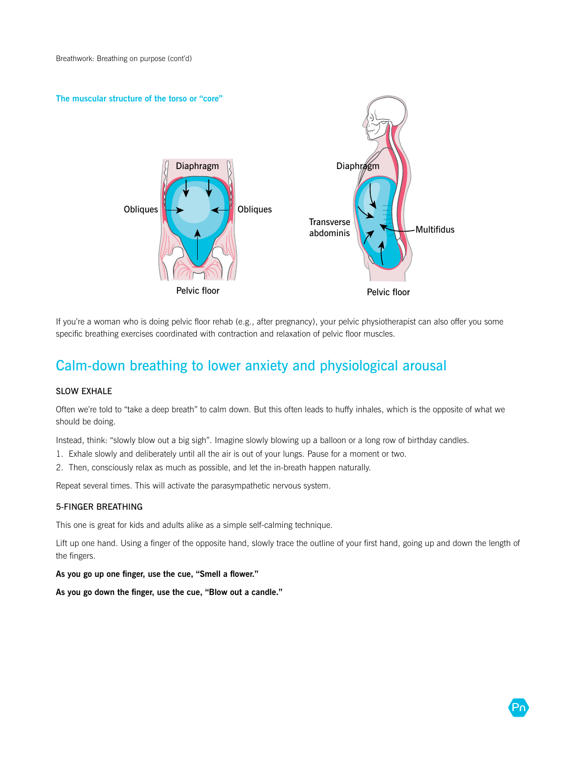

If you're a woman who is doing pelvic floor rehab (e.g., after pregnancy), your pelvic physiotherapist can also offer you some specific breathing exercises coordinated with contraction and relaxation of pelvic floor muscles.

# Calm-down breathing to lower anxiety and physiological arousal

### SLOW EXHALE

Often we're told to "take a deep breath" to calm down. But this often leads to huffy inhales, which is the opposite of what we should be doing.

Instead, think: "slowly blow out a big sigh". Imagine slowly blowing up a balloon or a long row of birthday candles.

- 1. Exhale slowly and deliberately until all the air is out of your lungs. Pause for a moment or two.
- 2. Then, consciously relax as much as possible, and let the in-breath happen naturally.

Repeat several times. This will activate the parasympathetic nervous system.

### 5-FINGER BREATHING

This one is great for kids and adults alike as a simple self-calming technique.

Lift up one hand. Using a finger of the opposite hand, slowly trace the outline of your first hand, going up and down the length of the fingers.

**As you go up one finger, use the cue, "Smell a flower."**

**As you go down the finger, use the cue, "Blow out a candle."**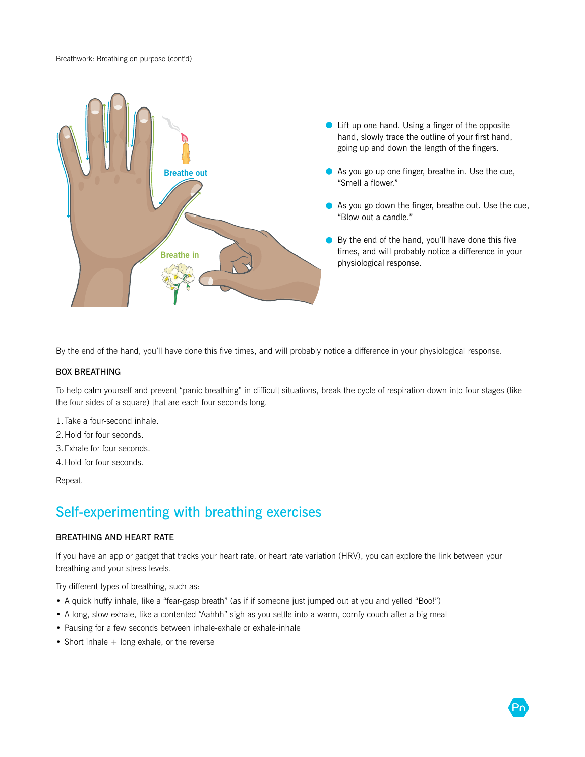

- Lift up one hand. Using a finger of the opposite hand, slowly trace the outline of your first hand, going up and down the length of the fingers.
- As you go up one finger, breathe in. Use the cue, "Smell a flower."
- As you go down the finger, breathe out. Use the cue, "Blow out a candle."
- By the end of the hand, you'll have done this five times, and will probably notice a difference in your physiological response.

By the end of the hand, you'll have done this five times, and will probably notice a difference in your physiological response.

### BOX BREATHING

To help calm yourself and prevent "panic breathing" in difficult situations, break the cycle of respiration down into four stages (like the four sides of a square) that are each four seconds long.

1.Take a four-second inhale.

2.Hold for four seconds.

3.Exhale for four seconds.

4.Hold for four seconds.

Repeat.

## Self-experimenting with breathing exercises

### BREATHING AND HEART RATE

If you have an app or gadget that tracks your heart rate, or heart rate variation (HRV), you can explore the link between your breathing and your stress levels.

Try different types of breathing, such as:

- A quick huffy inhale, like a "fear-gasp breath" (as if if someone just jumped out at you and yelled "Boo!")
- A long, slow exhale, like a contented "Aahhh" sigh as you settle into a warm, comfy couch after a big meal
- Pausing for a few seconds between inhale-exhale or exhale-inhale
- Short inhale  $+$  long exhale, or the reverse